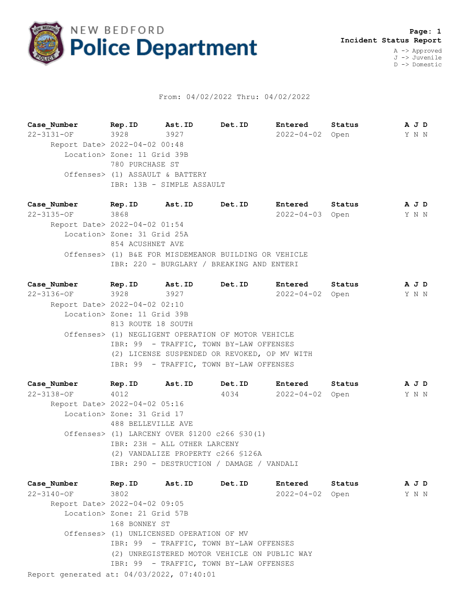

## From: 04/02/2022 Thru: 04/02/2022

**Case\_Number Rep.ID Ast.ID Det.ID Entered Status A J D** 22-3131-OF 3928 3927 2022-04-02 Open Y N N Report Date> 2022-04-02 00:48 Location> Zone: 11 Grid 39B 780 PURCHASE ST Offenses> (1) ASSAULT & BATTERY IBR: 13B - SIMPLE ASSAULT

**Case\_Number Rep.ID Ast.ID Det.ID Entered Status A J D** 22-3135-OF 3868 2022-04-03 Open Y N N Report Date> 2022-04-02 01:54 Location> Zone: 31 Grid 25A 854 ACUSHNET AVE Offenses> (1) B&E FOR MISDEMEANOR BUILDING OR VEHICLE IBR: 220 - BURGLARY / BREAKING AND ENTERI

**Case\_Number Rep.ID Ast.ID Det.ID Entered Status A J D** 22-3136-OF 3928 3927 2022-04-02 Open Y N N Report Date> 2022-04-02 02:10 Location> Zone: 11 Grid 39B 813 ROUTE 18 SOUTH Offenses> (1) NEGLIGENT OPERATION OF MOTOR VEHICLE IBR: 99 - TRAFFIC, TOWN BY-LAW OFFENSES (2) LICENSE SUSPENDED OR REVOKED, OP MV WITH IBR: 99 - TRAFFIC, TOWN BY-LAW OFFENSES

**Case\_Number Rep.ID Ast.ID Det.ID Entered Status A J D** 22-3138-OF 4012 4034 2022-04-02 Open Y N N Report Date> 2022-04-02 05:16 Location> Zone: 31 Grid 17 488 BELLEVILLE AVE Offenses> (1) LARCENY OVER \$1200 c266 §30(1) IBR: 23H - ALL OTHER LARCENY (2) VANDALIZE PROPERTY c266 §126A IBR: 290 - DESTRUCTION / DAMAGE / VANDALI

Report generated at: 04/03/2022, 07:40:01 **Case\_Number Rep.ID Ast.ID Det.ID Entered Status A J D** 22-3140-OF 3802 2022-04-02 Open Y N N Report Date> 2022-04-02 09:05 Location> Zone: 21 Grid 57B 168 BONNEY ST Offenses> (1) UNLICENSED OPERATION OF MV IBR: 99 - TRAFFIC, TOWN BY-LAW OFFENSES (2) UNREGISTERED MOTOR VEHICLE ON PUBLIC WAY IBR: 99 - TRAFFIC, TOWN BY-LAW OFFENSES